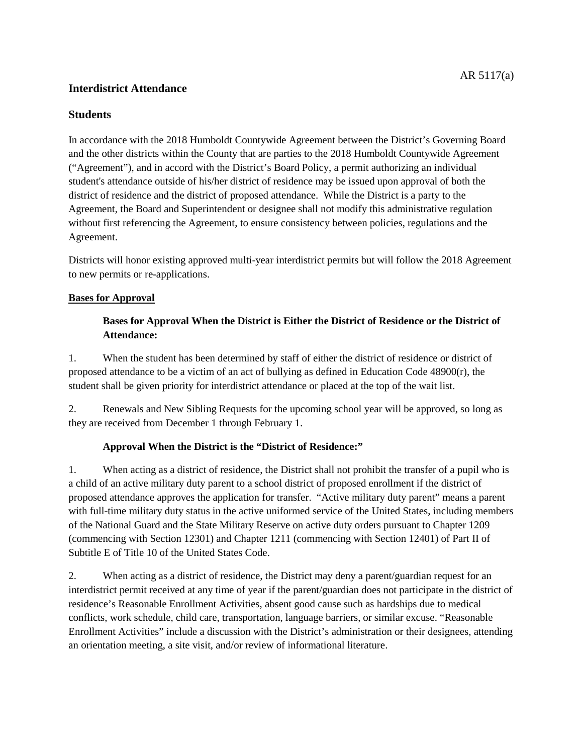#### **Interdistrict Attendance**

In accordance with the 2018 Humboldt Countywide Agreement between the District's Governing Board and the other districts within the County that are parties to the 2018 Humboldt Countywide Agreement ("Agreement"), and in accord with the District's Board Policy, a permit authorizing an individual student's attendance outside of his/her district of residence may be issued upon approval of both the district of residence and the district of proposed attendance. While the District is a party to the Agreement, the Board and Superintendent or designee shall not modify this administrative regulation without first referencing the Agreement, to ensure consistency between policies, regulations and the Agreement.

Districts will honor existing approved multi-year interdistrict permits but will follow the 2018 Agreement to new permits or re-applications.

### **Bases for Approval**

### **Bases for Approval When the District is Either the District of Residence or the District of Attendance:**

1. When the student has been determined by staff of either the district of residence or district of proposed attendance to be a victim of an act of bullying as defined in Education Code 48900(r), the student shall be given priority for interdistrict attendance or placed at the top of the wait list.

2. Renewals and New Sibling Requests for the upcoming school year will be approved, so long as they are received from December 1 through February 1.

#### **Approval When the District is the "District of Residence:"**

1. When acting as a district of residence, the District shall not prohibit the transfer of a pupil who is a child of an active military duty parent to a school district of proposed enrollment if the district of proposed attendance approves the application for transfer. "Active military duty parent" means a parent with full-time military duty status in the active uniformed service of the United States, including members of the National Guard and the State Military Reserve on active duty orders pursuant to Chapter 1209 (commencing with Section 12301) and Chapter 1211 (commencing with Section 12401) of Part II of Subtitle E of Title 10 of the United States Code.

2. When acting as a district of residence, the District may deny a parent/guardian request for an interdistrict permit received at any time of year if the parent/guardian does not participate in the district of residence's Reasonable Enrollment Activities, absent good cause such as hardships due to medical conflicts, work schedule, child care, transportation, language barriers, or similar excuse. "Reasonable Enrollment Activities" include a discussion with the District's administration or their designees, attending an orientation meeting, a site visit, and/or review of informational literature.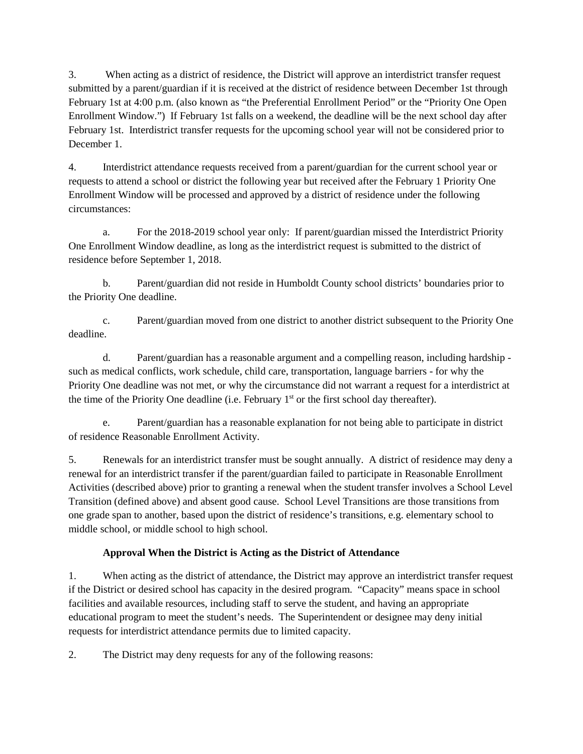3. When acting as a district of residence, the District will approve an interdistrict transfer request submitted by a parent/guardian if it is received at the district of residence between December 1st through February 1st at 4:00 p.m. (also known as "the Preferential Enrollment Period" or the "Priority One Open Enrollment Window.") If February 1st falls on a weekend, the deadline will be the next school day after February 1st. Interdistrict transfer requests for the upcoming school year will not be considered prior to December 1

4. Interdistrict attendance requests received from a parent/guardian for the current school year or requests to attend a school or district the following year but received after the February 1 Priority One Enrollment Window will be processed and approved by a district of residence under the following circumstances:

a. For the 2018-2019 school year only: If parent/guardian missed the Interdistrict Priority One Enrollment Window deadline, as long as the interdistrict request is submitted to the district of residence before September 1, 2018.

b. Parent/guardian did not reside in Humboldt County school districts' boundaries prior to the Priority One deadline.

c. Parent/guardian moved from one district to another district subsequent to the Priority One deadline.

d. Parent/guardian has a reasonable argument and a compelling reason, including hardship such as medical conflicts, work schedule, child care, transportation, language barriers - for why the Priority One deadline was not met, or why the circumstance did not warrant a request for a interdistrict at the time of the Priority One deadline (i.e. February  $1<sup>st</sup>$  or the first school day thereafter).

e. Parent/guardian has a reasonable explanation for not being able to participate in district of residence Reasonable Enrollment Activity.

5. Renewals for an interdistrict transfer must be sought annually. A district of residence may deny a renewal for an interdistrict transfer if the parent/guardian failed to participate in Reasonable Enrollment Activities (described above) prior to granting a renewal when the student transfer involves a School Level Transition (defined above) and absent good cause. School Level Transitions are those transitions from one grade span to another, based upon the district of residence's transitions, e.g. elementary school to middle school, or middle school to high school.

## **Approval When the District is Acting as the District of Attendance**

1. When acting as the district of attendance, the District may approve an interdistrict transfer request if the District or desired school has capacity in the desired program. "Capacity" means space in school facilities and available resources, including staff to serve the student, and having an appropriate educational program to meet the student's needs. The Superintendent or designee may deny initial requests for interdistrict attendance permits due to limited capacity.

2. The District may deny requests for any of the following reasons: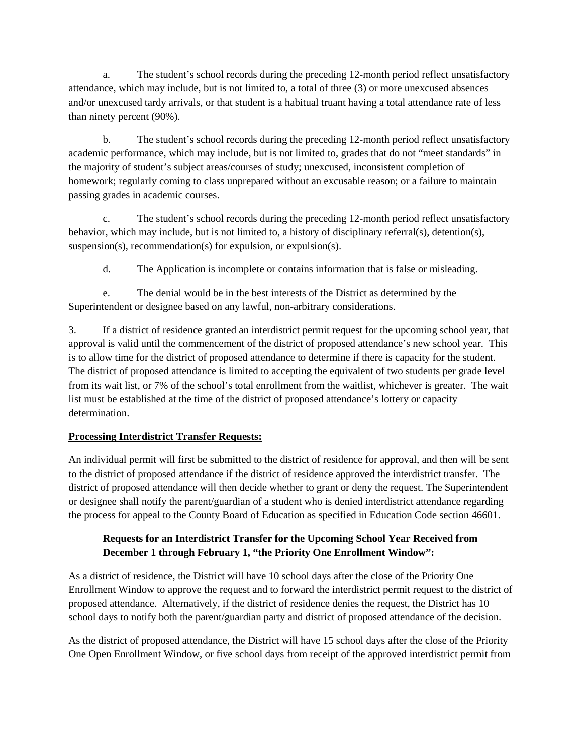a. The student's school records during the preceding 12-month period reflect unsatisfactory attendance, which may include, but is not limited to, a total of three (3) or more unexcused absences and/or unexcused tardy arrivals, or that student is a habitual truant having a total attendance rate of less than ninety percent (90%).

b. The student's school records during the preceding 12-month period reflect unsatisfactory academic performance, which may include, but is not limited to, grades that do not "meet standards" in the majority of student's subject areas/courses of study; unexcused, inconsistent completion of homework; regularly coming to class unprepared without an excusable reason; or a failure to maintain passing grades in academic courses.

c. The student's school records during the preceding 12-month period reflect unsatisfactory behavior, which may include, but is not limited to, a history of disciplinary referral(s), detention(s), suspension(s), recommendation(s) for expulsion, or expulsion(s).

d. The Application is incomplete or contains information that is false or misleading.

e. The denial would be in the best interests of the District as determined by the Superintendent or designee based on any lawful, non-arbitrary considerations.

3. If a district of residence granted an interdistrict permit request for the upcoming school year, that approval is valid until the commencement of the district of proposed attendance's new school year. This is to allow time for the district of proposed attendance to determine if there is capacity for the student. The district of proposed attendance is limited to accepting the equivalent of two students per grade level from its wait list, or 7% of the school's total enrollment from the waitlist, whichever is greater. The wait list must be established at the time of the district of proposed attendance's lottery or capacity determination.

## **Processing Interdistrict Transfer Requests:**

An individual permit will first be submitted to the district of residence for approval, and then will be sent to the district of proposed attendance if the district of residence approved the interdistrict transfer. The district of proposed attendance will then decide whether to grant or deny the request. The Superintendent or designee shall notify the parent/guardian of a student who is denied interdistrict attendance regarding the process for appeal to the County Board of Education as specified in Education Code section 46601.

## **Requests for an Interdistrict Transfer for the Upcoming School Year Received from December 1 through February 1, "the Priority One Enrollment Window":**

As a district of residence, the District will have 10 school days after the close of the Priority One Enrollment Window to approve the request and to forward the interdistrict permit request to the district of proposed attendance. Alternatively, if the district of residence denies the request, the District has 10 school days to notify both the parent/guardian party and district of proposed attendance of the decision.

As the district of proposed attendance, the District will have 15 school days after the close of the Priority One Open Enrollment Window, or five school days from receipt of the approved interdistrict permit from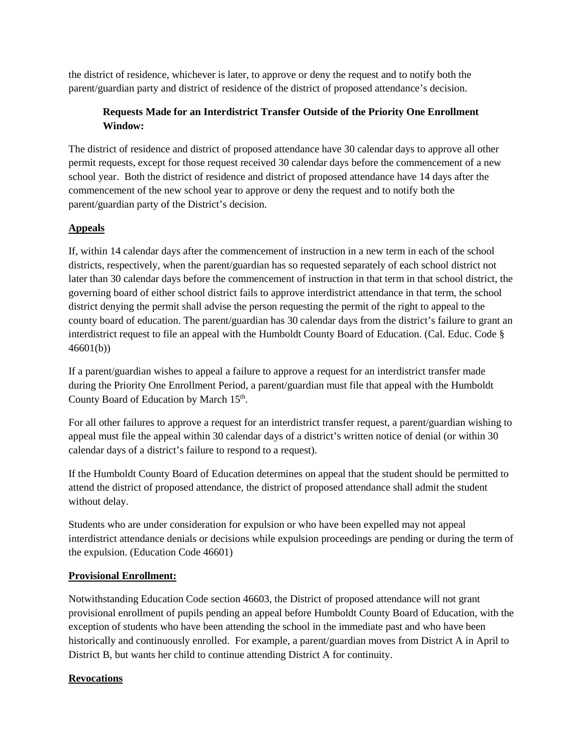the district of residence, whichever is later, to approve or deny the request and to notify both the parent/guardian party and district of residence of the district of proposed attendance's decision.

## **Requests Made for an Interdistrict Transfer Outside of the Priority One Enrollment Window:**

The district of residence and district of proposed attendance have 30 calendar days to approve all other permit requests, except for those request received 30 calendar days before the commencement of a new school year. Both the district of residence and district of proposed attendance have 14 days after the commencement of the new school year to approve or deny the request and to notify both the parent/guardian party of the District's decision.

## **Appeals**

If, within 14 calendar days after the commencement of instruction in a new term in each of the school districts, respectively, when the parent/guardian has so requested separately of each school district not later than 30 calendar days before the commencement of instruction in that term in that school district, the governing board of either school district fails to approve interdistrict attendance in that term, the school district denying the permit shall advise the person requesting the permit of the right to appeal to the county board of education. The parent/guardian has 30 calendar days from the district's failure to grant an interdistrict request to file an appeal with the Humboldt County Board of Education. (Cal. Educ. Code § 46601(b))

If a parent/guardian wishes to appeal a failure to approve a request for an interdistrict transfer made during the Priority One Enrollment Period, a parent/guardian must file that appeal with the Humboldt County Board of Education by March 15<sup>th</sup>.

For all other failures to approve a request for an interdistrict transfer request, a parent/guardian wishing to appeal must file the appeal within 30 calendar days of a district's written notice of denial (or within 30 calendar days of a district's failure to respond to a request).

If the Humboldt County Board of Education determines on appeal that the student should be permitted to attend the district of proposed attendance, the district of proposed attendance shall admit the student without delay.

Students who are under consideration for expulsion or who have been expelled may not appeal interdistrict attendance denials or decisions while expulsion proceedings are pending or during the term of the expulsion. (Education Code 46601)

## **Provisional Enrollment:**

Notwithstanding Education Code section 46603, the District of proposed attendance will not grant provisional enrollment of pupils pending an appeal before Humboldt County Board of Education, with the exception of students who have been attending the school in the immediate past and who have been historically and continuously enrolled. For example, a parent/guardian moves from District A in April to District B, but wants her child to continue attending District A for continuity.

# **Revocations**